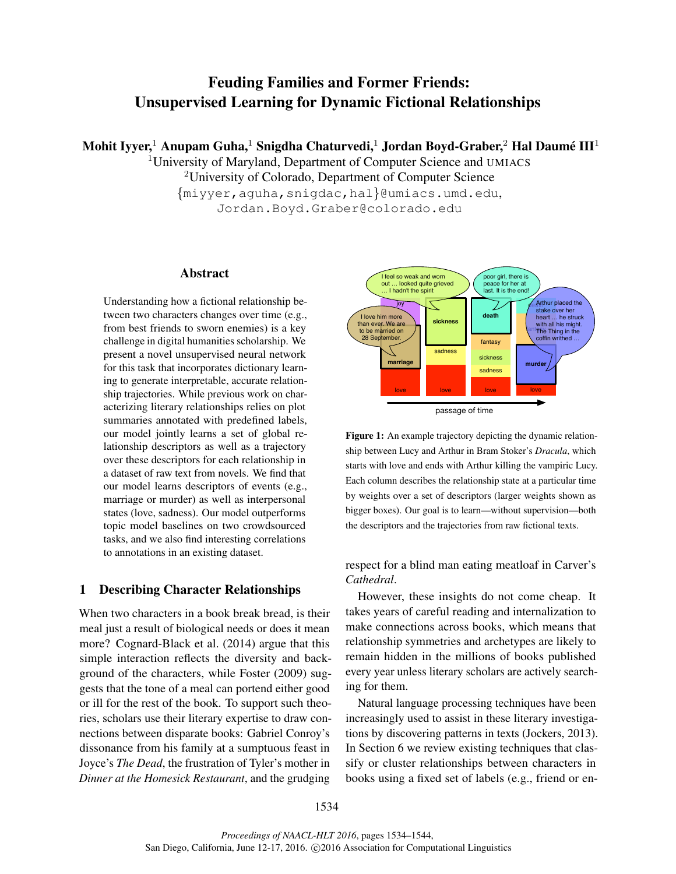# Feuding Families and Former Friends: Unsupervised Learning for Dynamic Fictional Relationships

Mohit Iyyer, $^1$  Anupam Guha, $^1$  Snigdha Chaturvedi, $^1$  Jordan Boyd-Graber, $^2$  Hal Daumé III $^1$ 

<sup>1</sup>University of Maryland, Department of Computer Science and UMIACS <sup>2</sup>University of Colorado, Department of Computer Science {miyyer,aguha,snigdac,hal}@umiacs.umd.edu, Jordan.Boyd.Graber@colorado.edu

# Abstract

Understanding how a fictional relationship between two characters changes over time (e.g., from best friends to sworn enemies) is a key challenge in digital humanities scholarship. We present a novel unsupervised neural network for this task that incorporates dictionary learning to generate interpretable, accurate relationship trajectories. While previous work on characterizing literary relationships relies on plot summaries annotated with predefined labels, our model jointly learns a set of global relationship descriptors as well as a trajectory over these descriptors for each relationship in a dataset of raw text from novels. We find that our model learns descriptors of events (e.g., marriage or murder) as well as interpersonal states (love, sadness). Our model outperforms topic model baselines on two crowdsourced tasks, and we also find interesting correlations to annotations in an existing dataset.

# 1 Describing Character Relationships

When two characters in a book break bread, is their meal just a result of biological needs or does it mean more? Cognard-Black et al. (2014) argue that this simple interaction reflects the diversity and background of the characters, while Foster (2009) suggests that the tone of a meal can portend either good or ill for the rest of the book. To support such theories, scholars use their literary expertise to draw connections between disparate books: Gabriel Conroy's dissonance from his family at a sumptuous feast in Joyce's *The Dead*, the frustration of Tyler's mother in *Dinner at the Homesick Restaurant*, and the grudging



Figure 1: An example trajectory depicting the dynamic relationship between Lucy and Arthur in Bram Stoker's *Dracula*, which starts with love and ends with Arthur killing the vampiric Lucy. Each column describes the relationship state at a particular time by weights over a set of descriptors (larger weights shown as bigger boxes). Our goal is to learn—without supervision—both the descriptors and the trajectories from raw fictional texts.

# respect for a blind man eating meatloaf in Carver's *Cathedral*.

However, these insights do not come cheap. It takes years of careful reading and internalization to make connections across books, which means that relationship symmetries and archetypes are likely to remain hidden in the millions of books published every year unless literary scholars are actively searching for them.

Natural language processing techniques have been increasingly used to assist in these literary investigations by discovering patterns in texts (Jockers, 2013). In Section 6 we review existing techniques that classify or cluster relationships between characters in books using a fixed set of labels (e.g., friend or en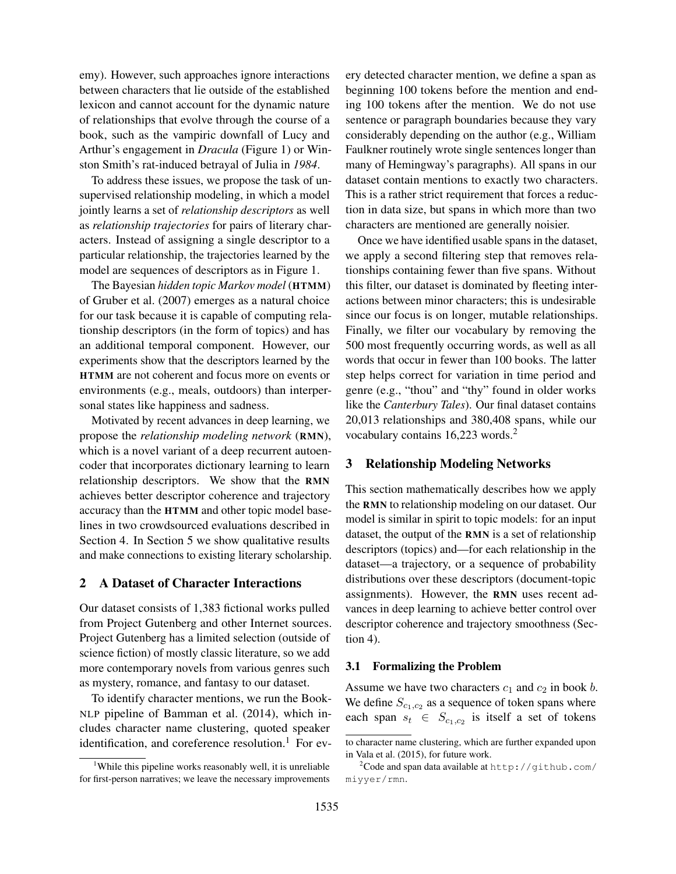emy). However, such approaches ignore interactions between characters that lie outside of the established lexicon and cannot account for the dynamic nature of relationships that evolve through the course of a book, such as the vampiric downfall of Lucy and Arthur's engagement in *Dracula* (Figure 1) or Winston Smith's rat-induced betrayal of Julia in *1984*.

To address these issues, we propose the task of unsupervised relationship modeling, in which a model jointly learns a set of *relationship descriptors* as well as *relationship trajectories* for pairs of literary characters. Instead of assigning a single descriptor to a particular relationship, the trajectories learned by the model are sequences of descriptors as in Figure 1.

The Bayesian *hidden topic Markov model* (HTMM) of Gruber et al. (2007) emerges as a natural choice for our task because it is capable of computing relationship descriptors (in the form of topics) and has an additional temporal component. However, our experiments show that the descriptors learned by the HTMM are not coherent and focus more on events or environments (e.g., meals, outdoors) than interpersonal states like happiness and sadness.

Motivated by recent advances in deep learning, we propose the *relationship modeling network* (RMN), which is a novel variant of a deep recurrent autoencoder that incorporates dictionary learning to learn relationship descriptors. We show that the RMN achieves better descriptor coherence and trajectory accuracy than the HTMM and other topic model baselines in two crowdsourced evaluations described in Section 4. In Section 5 we show qualitative results and make connections to existing literary scholarship.

# 2 A Dataset of Character Interactions

Our dataset consists of 1,383 fictional works pulled from Project Gutenberg and other Internet sources. Project Gutenberg has a limited selection (outside of science fiction) of mostly classic literature, so we add more contemporary novels from various genres such as mystery, romance, and fantasy to our dataset.

To identify character mentions, we run the Book-NLP pipeline of Bamman et al. (2014), which includes character name clustering, quoted speaker identification, and coreference resolution. $<sup>1</sup>$  For ev-</sup> ery detected character mention, we define a span as beginning 100 tokens before the mention and ending 100 tokens after the mention. We do not use sentence or paragraph boundaries because they vary considerably depending on the author (e.g., William Faulkner routinely wrote single sentences longer than many of Hemingway's paragraphs). All spans in our dataset contain mentions to exactly two characters. This is a rather strict requirement that forces a reduction in data size, but spans in which more than two characters are mentioned are generally noisier.

Once we have identified usable spans in the dataset, we apply a second filtering step that removes relationships containing fewer than five spans. Without this filter, our dataset is dominated by fleeting interactions between minor characters; this is undesirable since our focus is on longer, mutable relationships. Finally, we filter our vocabulary by removing the 500 most frequently occurring words, as well as all words that occur in fewer than 100 books. The latter step helps correct for variation in time period and genre (e.g., "thou" and "thy" found in older works like the *Canterbury Tales*). Our final dataset contains 20,013 relationships and 380,408 spans, while our vocabulary contains 16,223 words.<sup>2</sup>

# 3 Relationship Modeling Networks

This section mathematically describes how we apply the RMN to relationship modeling on our dataset. Our model is similar in spirit to topic models: for an input dataset, the output of the RMN is a set of relationship descriptors (topics) and—for each relationship in the dataset—a trajectory, or a sequence of probability distributions over these descriptors (document-topic assignments). However, the RMN uses recent advances in deep learning to achieve better control over descriptor coherence and trajectory smoothness (Section 4).

### 3.1 Formalizing the Problem

Assume we have two characters  $c_1$  and  $c_2$  in book b. We define  $S_{c_1,c_2}$  as a sequence of token spans where each span  $s_t \in S_{c_1,c_2}$  is itself a set of tokens

<sup>&</sup>lt;sup>1</sup>While this pipeline works reasonably well, it is unreliable for first-person narratives; we leave the necessary improvements

to character name clustering, which are further expanded upon in Vala et al. (2015), for future work.

 $2^2$ Code and span data available at http://github.com/ miyyer/rmn.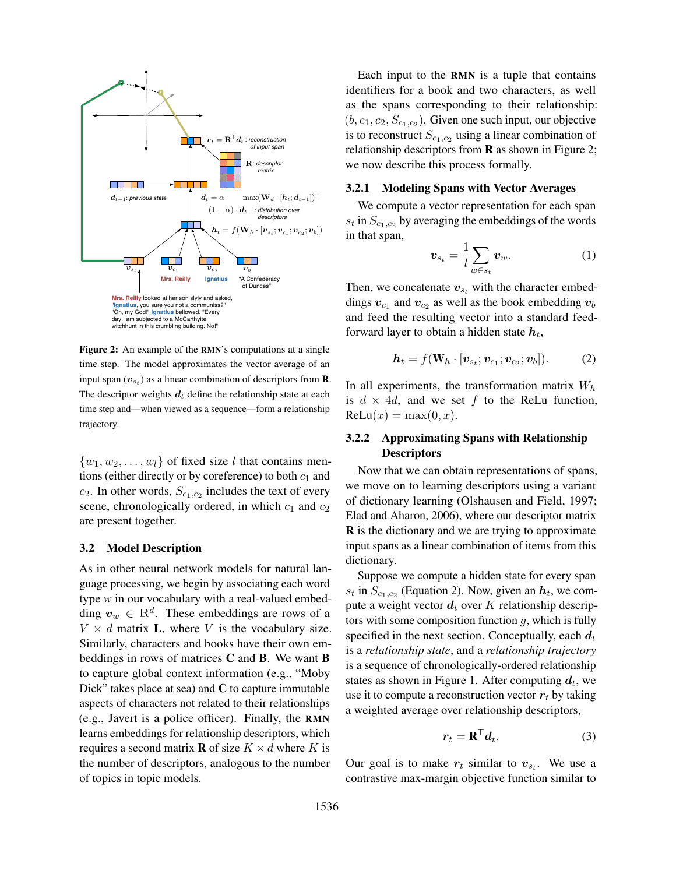

Figure 2: An example of the RMN's computations at a single time step. The model approximates the vector average of an input span  $(v_{s_t})$  as a linear combination of descriptors from **R**. The descriptor weights  $d_t$  define the relationship state at each time step and—when viewed as a sequence—form a relationship trajectory.

 $\{w_1, w_2, \ldots, w_l\}$  of fixed size l that contains mentions (either directly or by coreference) to both  $c_1$  and  $c_2$ . In other words,  $S_{c_1,c_2}$  includes the text of every scene, chronologically ordered, in which  $c_1$  and  $c_2$ are present together.

# 3.2 Model Description

As in other neural network models for natural language processing, we begin by associating each word type *w* in our vocabulary with a real-valued embedding  $v_w \in \mathbb{R}^d$ . These embeddings are rows of a  $V \times d$  matrix **L**, where V is the vocabulary size. Similarly, characters and books have their own embeddings in rows of matrices C and B. We want B to capture global context information (e.g., "Moby Dick" takes place at sea) and  $C$  to capture immutable aspects of characters not related to their relationships (e.g., Javert is a police officer). Finally, the RMN learns embeddings for relationship descriptors, which requires a second matrix **R** of size  $K \times d$  where K is the number of descriptors, analogous to the number of topics in topic models.

Each input to the RMN is a tuple that contains identifiers for a book and two characters, as well as the spans corresponding to their relationship:  $(b, c_1, c_2, S_{c_1, c_2})$ . Given one such input, our objective is to reconstruct  $S_{c_1,c_2}$  using a linear combination of relationship descriptors from  $\bf{R}$  as shown in Figure 2; we now describe this process formally.

# 3.2.1 Modeling Spans with Vector Averages

We compute a vector representation for each span  $s_t$  in  $S_{c_1,c_2}$  by averaging the embeddings of the words in that span,

$$
\boldsymbol{v}_{s_t} = \frac{1}{l} \sum_{w \in s_t} \boldsymbol{v}_w. \tag{1}
$$

Then, we concatenate  $v_{s_t}$  with the character embeddings  $v_{c_1}$  and  $v_{c_2}$  as well as the book embedding  $v_b$ and feed the resulting vector into a standard feedforward layer to obtain a hidden state  $\bm{h}_t,$ 

$$
\boldsymbol{h}_t = f(\mathbf{W}_h \cdot [\boldsymbol{v}_{s_t}; \boldsymbol{v}_{c_1}; \boldsymbol{v}_{c_2}; \boldsymbol{v}_b]).
$$
 (2)

In all experiments, the transformation matrix  $W_h$ is  $d \times 4d$ , and we set f to the ReLu function,  $\text{ReLu}(x) = \max(0, x).$ 

# 3.2.2 Approximating Spans with Relationship **Descriptors**

Now that we can obtain representations of spans, we move on to learning descriptors using a variant of dictionary learning (Olshausen and Field, 1997; Elad and Aharon, 2006), where our descriptor matrix R is the dictionary and we are trying to approximate input spans as a linear combination of items from this dictionary.

Suppose we compute a hidden state for every span  $s_t$  in  $S_{c_1,c_2}$  (Equation 2). Now, given an  $h_t$ , we compute a weight vector  $d_t$  over K relationship descriptors with some composition function  $q$ , which is fully specified in the next section. Conceptually, each  $d_t$ is a *relationship state*, and a *relationship trajectory* is a sequence of chronologically-ordered relationship states as shown in Figure 1. After computing  $d_t$ , we use it to compute a reconstruction vector  $r_t$  by taking a weighted average over relationship descriptors,

$$
\boldsymbol{r}_t = \mathbf{R}^\mathsf{T} \boldsymbol{d}_t. \tag{3}
$$

Our goal is to make  $r_t$  similar to  $v_{s_t}$ . We use a contrastive max-margin objective function similar to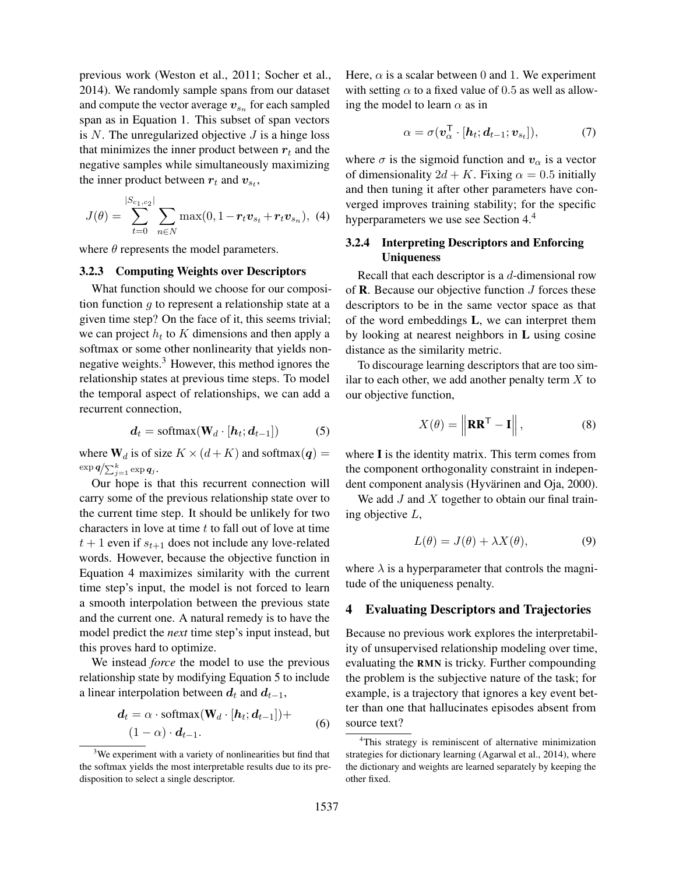previous work (Weston et al., 2011; Socher et al., 2014). We randomly sample spans from our dataset and compute the vector average  $\boldsymbol{v}_{s_n}$  for each sampled span as in Equation 1. This subset of span vectors is  $N$ . The unregularized objective  $J$  is a hinge loss that minimizes the inner product between  $r_t$  and the negative samples while simultaneously maximizing the inner product between  $r_t$  and  $v_{s_t}$ ,

$$
J(\theta) = \sum_{t=0}^{|S_{c_1,c_2}|} \sum_{n \in N} \max(0, 1 - r_t \mathbf{v}_{s_t} + r_t \mathbf{v}_{s_n}), \tag{4}
$$

where  $\theta$  represents the model parameters.

# 3.2.3 Computing Weights over Descriptors

What function should we choose for our composition function  $g$  to represent a relationship state at a given time step? On the face of it, this seems trivial; we can project  $h_t$  to K dimensions and then apply a softmax or some other nonlinearity that yields nonnegative weights.<sup>3</sup> However, this method ignores the relationship states at previous time steps. To model the temporal aspect of relationships, we can add a recurrent connection,

$$
d_t = \text{softmax}(\mathbf{W}_d \cdot [\mathbf{h}_t; \mathbf{d}_{t-1}]) \tag{5}
$$

where  $W_d$  is of size  $K \times (d + K)$  and softmax $(q)$  =  $\exp \boldsymbol{q} / {\sum_{j=1}^k \exp \boldsymbol{q}_j}$  .

Our hope is that this recurrent connection will carry some of the previous relationship state over to the current time step. It should be unlikely for two characters in love at time  $t$  to fall out of love at time  $t + 1$  even if  $s_{t+1}$  does not include any love-related words. However, because the objective function in Equation 4 maximizes similarity with the current time step's input, the model is not forced to learn a smooth interpolation between the previous state and the current one. A natural remedy is to have the model predict the *next* time step's input instead, but this proves hard to optimize.

We instead *force* the model to use the previous relationship state by modifying Equation 5 to include a linear interpolation between  $d_t$  and  $d_{t-1}$ ,

$$
\begin{aligned} \mathbf{d}_t &= \alpha \cdot \text{softmax}(\mathbf{W}_d \cdot [\mathbf{h}_t; \mathbf{d}_{t-1}]) + \\ (1 - \alpha) \cdot \mathbf{d}_{t-1}. \end{aligned} \tag{6}
$$

Here,  $\alpha$  is a scalar between 0 and 1. We experiment with setting  $\alpha$  to a fixed value of 0.5 as well as allowing the model to learn  $\alpha$  as in

$$
\alpha = \sigma(\boldsymbol{v}_{\alpha}^{\mathsf{T}} \cdot [\boldsymbol{h}_t; \boldsymbol{d}_{t-1}; \boldsymbol{v}_{s_t}]), \tag{7}
$$

where  $\sigma$  is the sigmoid function and  $v_{\alpha}$  is a vector of dimensionality  $2d + K$ . Fixing  $\alpha = 0.5$  initially and then tuning it after other parameters have converged improves training stability; for the specific hyperparameters we use see Section 4.<sup>4</sup>

# 3.2.4 Interpreting Descriptors and Enforcing Uniqueness

Recall that each descriptor is a  $d$ -dimensional row of **. Because our objective function**  $J$  **forces these** descriptors to be in the same vector space as that of the word embeddings L, we can interpret them by looking at nearest neighbors in L using cosine distance as the similarity metric.

To discourage learning descriptors that are too similar to each other, we add another penalty term  $X$  to our objective function,

$$
X(\theta) = \left\| \mathbf{R} \mathbf{R}^{\mathsf{T}} - \mathbf{I} \right\|, \tag{8}
$$

where I is the identity matrix. This term comes from the component orthogonality constraint in independent component analysis (Hyvärinen and Oja, 2000).

We add  $J$  and  $X$  together to obtain our final training objective L,

$$
L(\theta) = J(\theta) + \lambda X(\theta), \tag{9}
$$

where  $\lambda$  is a hyperparameter that controls the magnitude of the uniqueness penalty.

# 4 Evaluating Descriptors and Trajectories

Because no previous work explores the interpretability of unsupervised relationship modeling over time, evaluating the RMN is tricky. Further compounding the problem is the subjective nature of the task; for example, is a trajectory that ignores a key event better than one that hallucinates episodes absent from source text?

<sup>&</sup>lt;sup>3</sup>We experiment with a variety of nonlinearities but find that the softmax yields the most interpretable results due to its predisposition to select a single descriptor.

<sup>4</sup>This strategy is reminiscent of alternative minimization strategies for dictionary learning (Agarwal et al., 2014), where the dictionary and weights are learned separately by keeping the other fixed.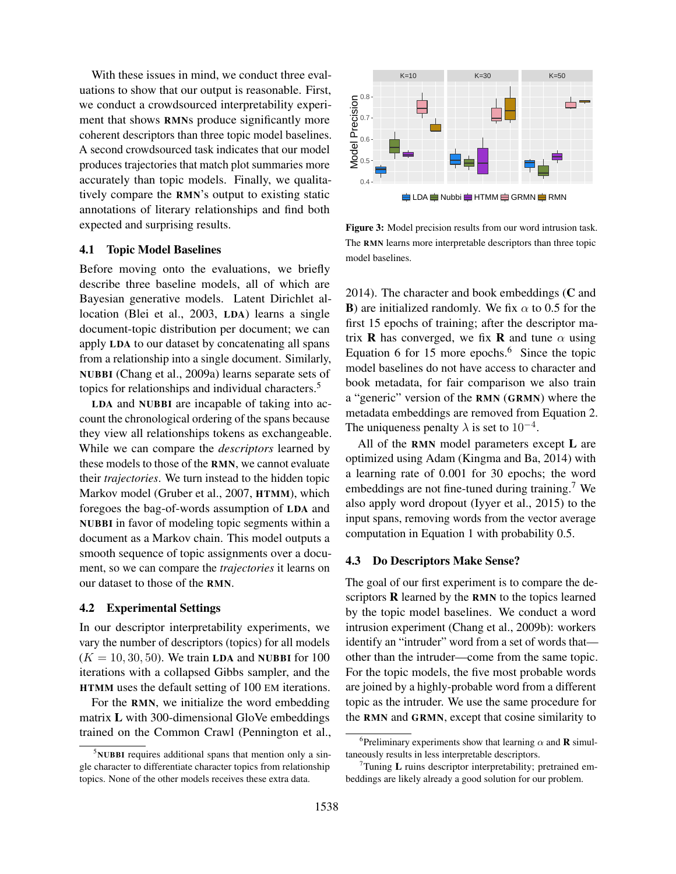With these issues in mind, we conduct three evaluations to show that our output is reasonable. First, we conduct a crowdsourced interpretability experiment that shows RMNs produce significantly more coherent descriptors than three topic model baselines. A second crowdsourced task indicates that our model produces trajectories that match plot summaries more accurately than topic models. Finally, we qualitatively compare the RMN's output to existing static annotations of literary relationships and find both expected and surprising results.

#### 4.1 Topic Model Baselines

Before moving onto the evaluations, we briefly describe three baseline models, all of which are Bayesian generative models. Latent Dirichlet allocation (Blei et al., 2003, LDA) learns a single document-topic distribution per document; we can apply LDA to our dataset by concatenating all spans from a relationship into a single document. Similarly, NUBBI (Chang et al., 2009a) learns separate sets of topics for relationships and individual characters.<sup>5</sup>

LDA and NUBBI are incapable of taking into account the chronological ordering of the spans because they view all relationships tokens as exchangeable. While we can compare the *descriptors* learned by these models to those of the RMN, we cannot evaluate their *trajectories*. We turn instead to the hidden topic Markov model (Gruber et al., 2007, HTMM), which foregoes the bag-of-words assumption of LDA and NUBBI in favor of modeling topic segments within a document as a Markov chain. This model outputs a smooth sequence of topic assignments over a document, so we can compare the *trajectories* it learns on our dataset to those of the RMN.

#### 4.2 Experimental Settings

In our descriptor interpretability experiments, we vary the number of descriptors (topics) for all models  $(K = 10, 30, 50)$ . We train LDA and NUBBI for 100 iterations with a collapsed Gibbs sampler, and the HTMM uses the default setting of 100 EM iterations.

For the RMN, we initialize the word embedding matrix L with 300-dimensional GloVe embeddings trained on the Common Crawl (Pennington et al.,



Figure 3: Model precision results from our word intrusion task. The RMN learns more interpretable descriptors than three topic model baselines.

2014). The character and book embeddings (C and **B**) are initialized randomly. We fix  $\alpha$  to 0.5 for the first 15 epochs of training; after the descriptor matrix **R** has converged, we fix **R** and tune  $\alpha$  using Equation 6 for 15 more epochs.<sup>6</sup> Since the topic model baselines do not have access to character and book metadata, for fair comparison we also train a "generic" version of the RMN (GRMN) where the metadata embeddings are removed from Equation 2. The uniqueness penalty  $\lambda$  is set to 10<sup>-4</sup>.

All of the RMN model parameters except L are optimized using Adam (Kingma and Ba, 2014) with a learning rate of 0.001 for 30 epochs; the word embeddings are not fine-tuned during training.<sup>7</sup> We also apply word dropout (Iyyer et al., 2015) to the input spans, removing words from the vector average computation in Equation 1 with probability 0.5.

#### 4.3 Do Descriptors Make Sense?

The goal of our first experiment is to compare the descriptors  **learned by the**  $**R**$  **and to the topics learned** by the topic model baselines. We conduct a word intrusion experiment (Chang et al., 2009b): workers identify an "intruder" word from a set of words that other than the intruder—come from the same topic. For the topic models, the five most probable words are joined by a highly-probable word from a different topic as the intruder. We use the same procedure for the RMN and GRMN, except that cosine similarity to

 $5$ NUBBI requires additional spans that mention only a single character to differentiate character topics from relationship topics. None of the other models receives these extra data.

<sup>&</sup>lt;sup>6</sup>Preliminary experiments show that learning  $\alpha$  and **R** simultaneously results in less interpretable descriptors.

 $T$ Tuning L ruins descriptor interpretability; pretrained embeddings are likely already a good solution for our problem.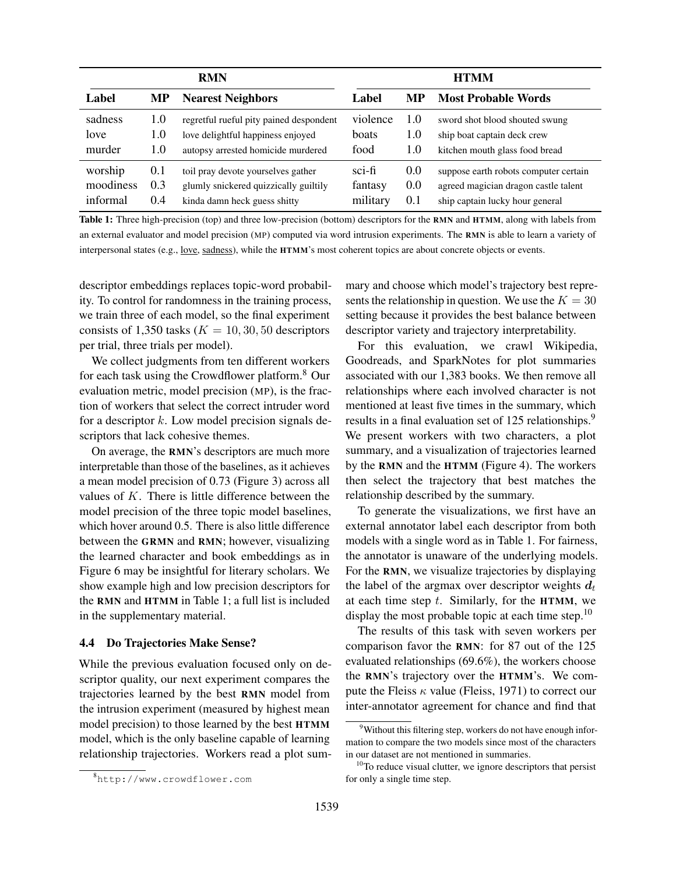| <b>RMN</b> |     |                                         | <b>HTMM</b>             |           |                                       |
|------------|-----|-----------------------------------------|-------------------------|-----------|---------------------------------------|
| Label      | MP  | <b>Nearest Neighbors</b>                | Label                   | <b>MP</b> | <b>Most Probable Words</b>            |
| sadness    | 1.0 | regretful rueful pity pained despondent | violence                | 1.0       | sword shot blood shouted swung        |
| love       | 1.0 | love delightful happiness enjoyed       | boats                   | 1.0       | ship boat captain deck crew           |
| murder     | 1.0 | autopsy arrested homicide murdered      | food                    | 1.0       | kitchen mouth glass food bread        |
| worship    | 0.1 | toil pray devote yourselves gather      | $\operatorname{sci-fi}$ | 0.0       | suppose earth robots computer certain |
| moodiness  | 0.3 | glumly snickered quizzically guiltily   | fantasy                 | 0.0       | agreed magician dragon castle talent  |
| informal   | 0.4 | kinda damn heck guess shitty            | military                | 0.1       | ship captain lucky hour general       |

Table 1: Three high-precision (top) and three low-precision (bottom) descriptors for the RMN and HTMM, along with labels from an external evaluator and model precision (MP) computed via word intrusion experiments. The RMN is able to learn a variety of interpersonal states (e.g., love, sadness), while the HTMM's most coherent topics are about concrete objects or events.

descriptor embeddings replaces topic-word probability. To control for randomness in the training process, we train three of each model, so the final experiment consists of 1,350 tasks ( $K = 10, 30, 50$  descriptors per trial, three trials per model).

We collect judgments from ten different workers for each task using the Crowdflower platform.<sup>8</sup> Our evaluation metric, model precision (MP), is the fraction of workers that select the correct intruder word for a descriptor  $k$ . Low model precision signals descriptors that lack cohesive themes.

On average, the RMN's descriptors are much more interpretable than those of the baselines, as it achieves a mean model precision of 0.73 (Figure 3) across all values of  $K$ . There is little difference between the model precision of the three topic model baselines, which hover around 0.5. There is also little difference between the GRMN and RMN; however, visualizing the learned character and book embeddings as in Figure 6 may be insightful for literary scholars. We show example high and low precision descriptors for the RMN and HTMM in Table 1; a full list is included in the supplementary material.

# 4.4 Do Trajectories Make Sense?

While the previous evaluation focused only on descriptor quality, our next experiment compares the trajectories learned by the best RMN model from the intrusion experiment (measured by highest mean model precision) to those learned by the best HTMM model, which is the only baseline capable of learning relationship trajectories. Workers read a plot summary and choose which model's trajectory best represents the relationship in question. We use the  $K = 30$ setting because it provides the best balance between descriptor variety and trajectory interpretability.

For this evaluation, we crawl Wikipedia, Goodreads, and SparkNotes for plot summaries associated with our 1,383 books. We then remove all relationships where each involved character is not mentioned at least five times in the summary, which results in a final evaluation set of 125 relationships.<sup>9</sup> We present workers with two characters, a plot summary, and a visualization of trajectories learned by the RMN and the HTMM (Figure 4). The workers then select the trajectory that best matches the relationship described by the summary.

To generate the visualizations, we first have an external annotator label each descriptor from both models with a single word as in Table 1. For fairness, the annotator is unaware of the underlying models. For the RMN, we visualize trajectories by displaying the label of the argmax over descriptor weights  $d_t$ at each time step  $t$ . Similarly, for the HTMM, we display the most probable topic at each time step.<sup>10</sup>

The results of this task with seven workers per comparison favor the RMN: for 87 out of the 125 evaluated relationships (69.6%), the workers choose the RMN's trajectory over the HTMM's. We compute the Fleiss  $\kappa$  value (Fleiss, 1971) to correct our inter-annotator agreement for chance and find that

<sup>8</sup>http://www.crowdflower.com

<sup>&</sup>lt;sup>9</sup>Without this filtering step, workers do not have enough information to compare the two models since most of the characters in our dataset are not mentioned in summaries.

 $10$ To reduce visual clutter, we ignore descriptors that persist for only a single time step.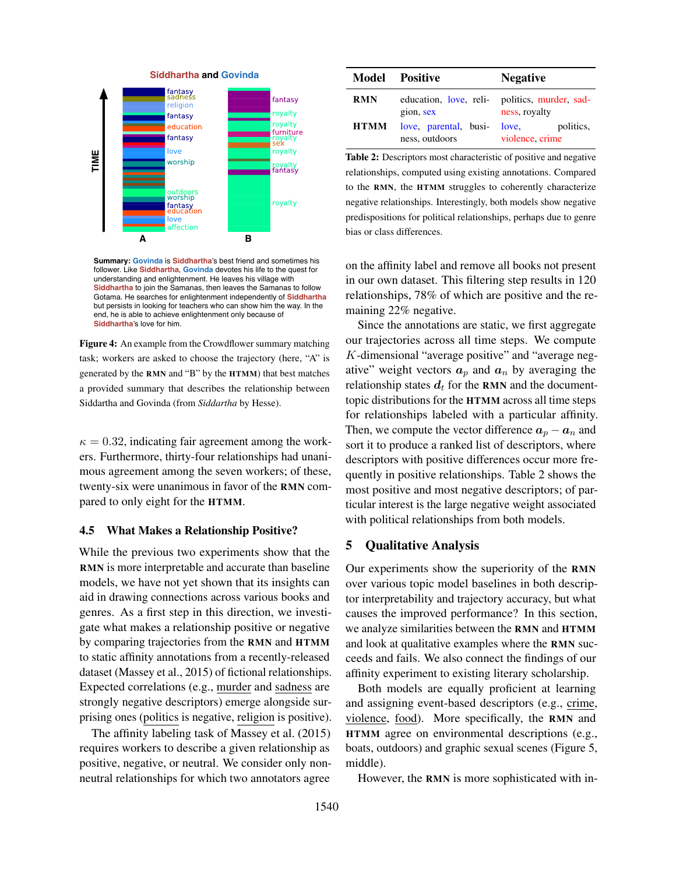

**Summary: Govinda** is **Siddhartha**'s best friend and sometimes his follower. Like **Siddhartha**, **Govinda** devotes his life to the quest for understanding and enlightenment. He leaves his village with **Siddhartha** to join the Samanas, then leaves the Samanas to follow Gotama. He searches for enlightenment independently of **Siddhartha** but persists in looking for teachers who can show him the way. In the end, he is able to achieve enlightenment only because of **Siddhartha**'s love for him.

Figure 4: An example from the Crowdflower summary matching task; workers are asked to choose the trajectory (here, "A" is generated by the RMN and "B" by the HTMM) that best matches a provided summary that describes the relationship between Siddartha and Govinda (from *Siddartha* by Hesse).

 $\kappa = 0.32$ , indicating fair agreement among the workers. Furthermore, thirty-four relationships had unanimous agreement among the seven workers; of these, twenty-six were unanimous in favor of the RMN compared to only eight for the HTMM.

# 4.5 What Makes a Relationship Positive?

While the previous two experiments show that the RMN is more interpretable and accurate than baseline models, we have not yet shown that its insights can aid in drawing connections across various books and genres. As a first step in this direction, we investigate what makes a relationship positive or negative by comparing trajectories from the RMN and HTMM to static affinity annotations from a recently-released dataset (Massey et al., 2015) of fictional relationships. Expected correlations (e.g., murder and sadness are strongly negative descriptors) emerge alongside surprising ones (politics is negative, religion is positive).

The affinity labeling task of Massey et al. (2015) requires workers to describe a given relationship as positive, negative, or neutral. We consider only nonneutral relationships for which two annotators agree

|             | <b>Model Positive</b>                   | <b>Negative</b>                                                |
|-------------|-----------------------------------------|----------------------------------------------------------------|
| <b>RMN</b>  | gion, sex                               | education, love, reli- politics, murder, sad-<br>ness, royalty |
| <b>HTMM</b> | love, parental, busi-<br>ness, outdoors | politics,<br>love.<br>violence, crime                          |

Table 2: Descriptors most characteristic of positive and negative relationships, computed using existing annotations. Compared to the RMN, the HTMM struggles to coherently characterize negative relationships. Interestingly, both models show negative predispositions for political relationships, perhaps due to genre bias or class differences.

on the affinity label and remove all books not present in our own dataset. This filtering step results in 120 relationships, 78% of which are positive and the remaining 22% negative.

Since the annotations are static, we first aggregate our trajectories across all time steps. We compute K-dimensional "average positive" and "average negative" weight vectors  $a_p$  and  $a_n$  by averaging the relationship states  $d_t$  for the RMN and the documenttopic distributions for the HTMM across all time steps for relationships labeled with a particular affinity. Then, we compute the vector difference  $a_n - a_n$  and sort it to produce a ranked list of descriptors, where descriptors with positive differences occur more frequently in positive relationships. Table 2 shows the most positive and most negative descriptors; of particular interest is the large negative weight associated with political relationships from both models.

# 5 Qualitative Analysis

Our experiments show the superiority of the RMN over various topic model baselines in both descriptor interpretability and trajectory accuracy, but what causes the improved performance? In this section, we analyze similarities between the RMN and HTMM and look at qualitative examples where the RMN succeeds and fails. We also connect the findings of our affinity experiment to existing literary scholarship.

Both models are equally proficient at learning and assigning event-based descriptors (e.g., crime, violence, food). More specifically, the RMN and HTMM agree on environmental descriptions (e.g., boats, outdoors) and graphic sexual scenes (Figure 5, middle).

However, the RMN is more sophisticated with in-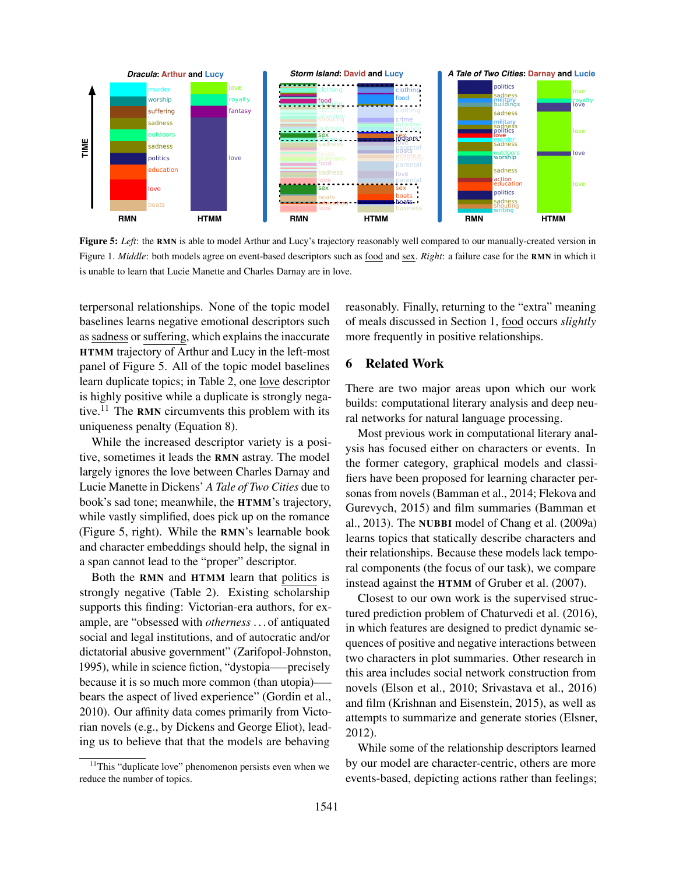

Figure 5: Left: the RMN is able to model Arthur and Lucy's trajectory reasonably well compared to our manually-created version in Figure 1. *Middle*: both models agree on event-based descriptors such as food and sex. *Right*: a failure case for the RMN in which it is unable to learn that Lucie Manette and Charles Darnay are in love.

terpersonal relationships. None of the topic model baselines learns negative emotional descriptors such as sadness or suffering, which explains the inaccurate HTMM trajectory of Arthur and Lucy in the left-most panel of Figure 5. All of the topic model baselines learn duplicate topics; in Table 2, one love descriptor is highly positive while a duplicate is strongly negative.<sup>11</sup> The RMN circumvents this problem with its uniqueness penalty (Equation 8).

While the increased descriptor variety is a positive, sometimes it leads the RMN astray. The model largely ignores the love between Charles Darnay and Lucie Manette in Dickens' *A Tale of Two Cities* due to book's sad tone; meanwhile, the HTMM's trajectory, while vastly simplified, does pick up on the romance (Figure 5, right). While the RMN's learnable book and character embeddings should help, the signal in a span cannot lead to the "proper" descriptor.

Both the RMN and HTMM learn that politics is strongly negative (Table 2). Existing scholarship supports this finding: Victorian-era authors, for example, are "obsessed with *otherness* . . . of antiquated social and legal institutions, and of autocratic and/or dictatorial abusive government" (Zarifopol-Johnston, 1995), while in science fiction, "dystopia—–precisely because it is so much more common (than utopia)—– bears the aspect of lived experience" (Gordin et al., 2010). Our affinity data comes primarily from Victorian novels (e.g., by Dickens and George Eliot), leading us to believe that that the models are behaving

reasonably. Finally, returning to the "extra" meaning of meals discussed in Section 1, food occurs *slightly* more frequently in positive relationships.

# 6 Related Work

There are two major areas upon which our work builds: computational literary analysis and deep neural networks for natural language processing.

Most previous work in computational literary analysis has focused either on characters or events. In the former category, graphical models and classifiers have been proposed for learning character personas from novels (Bamman et al., 2014; Flekova and Gurevych, 2015) and film summaries (Bamman et al., 2013). The NUBBI model of Chang et al. (2009a) learns topics that statically describe characters and their relationships. Because these models lack temporal components (the focus of our task), we compare instead against the HTMM of Gruber et al. (2007).

Closest to our own work is the supervised structured prediction problem of Chaturvedi et al. (2016), in which features are designed to predict dynamic sequences of positive and negative interactions between two characters in plot summaries. Other research in this area includes social network construction from novels (Elson et al., 2010; Srivastava et al., 2016) and film (Krishnan and Eisenstein, 2015), as well as attempts to summarize and generate stories (Elsner, 2012).

While some of the relationship descriptors learned by our model are character-centric, others are more events-based, depicting actions rather than feelings;

 $11$ This "duplicate love" phenomenon persists even when we reduce the number of topics.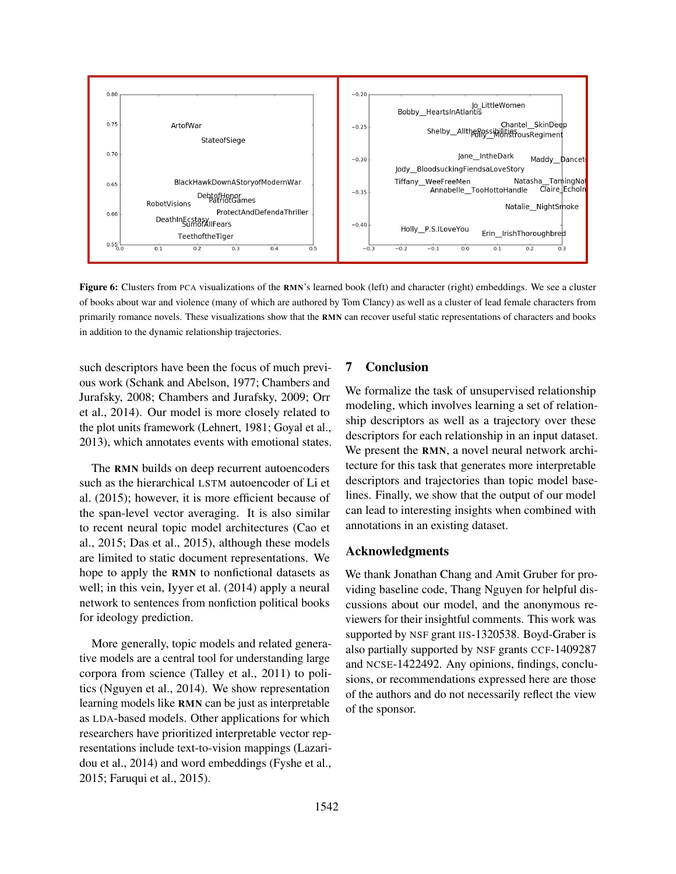

Figure 6: Clusters from PCA visualizations of the RMN's learned book (left) and character (right) embeddings. We see a cluster of books about war and violence (many of which are authored by Tom Clancy) as well as a cluster of lead female characters from primarily romance novels. These visualizations show that the RMN can recover useful static representations of characters and books in addition to the dynamic relationship trajectories.

such descriptors have been the focus of much previous work (Schank and Abelson, 1977; Chambers and Jurafsky, 2008; Chambers and Jurafsky, 2009; Orr et al., 2014). Our model is more closely related to the plot units framework (Lehnert, 1981; Goyal et al., 2013), which annotates events with emotional states.

The RMN builds on deep recurrent autoencoders such as the hierarchical LSTM autoencoder of Li et al. (2015); however, it is more efficient because of the span-level vector averaging. It is also similar to recent neural topic model architectures (Cao et al., 2015; Das et al., 2015), although these models are limited to static document representations. We hope to apply the RMN to nonfictional datasets as well; in this vein, Iyyer et al. (2014) apply a neural network to sentences from nonfiction political books for ideology prediction.

More generally, topic models and related generative models are a central tool for understanding large corpora from science (Talley et al., 2011) to politics (Nguyen et al., 2014). We show representation learning models like RMN can be just as interpretable as LDA-based models. Other applications for which researchers have prioritized interpretable vector representations include text-to-vision mappings (Lazaridou et al., 2014) and word embeddings (Fyshe et al., 2015; Faruqui et al., 2015).

## 7 Conclusion

We formalize the task of unsupervised relationship modeling, which involves learning a set of relationship descriptors as well as a trajectory over these descriptors for each relationship in an input dataset. We present the RMN, a novel neural network architecture for this task that generates more interpretable descriptors and trajectories than topic model baselines. Finally, we show that the output of our model can lead to interesting insights when combined with annotations in an existing dataset.

## Acknowledgments

We thank Jonathan Chang and Amit Gruber for providing baseline code, Thang Nguyen for helpful discussions about our model, and the anonymous reviewers for their insightful comments. This work was supported by NSF grant IIS-1320538. Boyd-Graber is also partially supported by NSF grants CCF-1409287 and NCSE-1422492. Any opinions, findings, conclusions, or recommendations expressed here are those of the authors and do not necessarily reflect the view of the sponsor.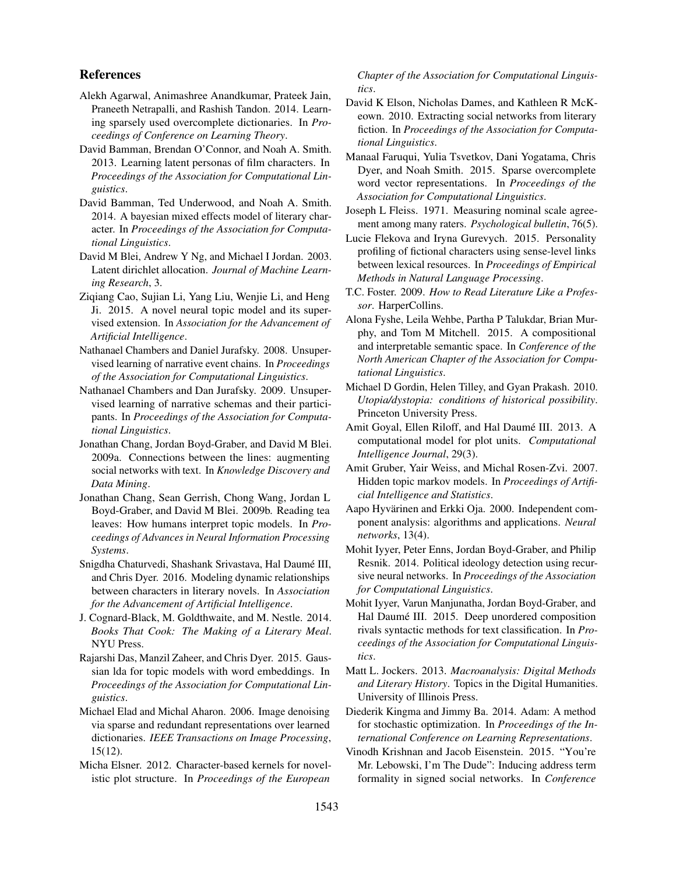# References

- Alekh Agarwal, Animashree Anandkumar, Prateek Jain, Praneeth Netrapalli, and Rashish Tandon. 2014. Learning sparsely used overcomplete dictionaries. In *Proceedings of Conference on Learning Theory*.
- David Bamman, Brendan O'Connor, and Noah A. Smith. 2013. Learning latent personas of film characters. In *Proceedings of the Association for Computational Linguistics*.
- David Bamman, Ted Underwood, and Noah A. Smith. 2014. A bayesian mixed effects model of literary character. In *Proceedings of the Association for Computational Linguistics*.
- David M Blei, Andrew Y Ng, and Michael I Jordan. 2003. Latent dirichlet allocation. *Journal of Machine Learning Research*, 3.
- Ziqiang Cao, Sujian Li, Yang Liu, Wenjie Li, and Heng Ji. 2015. A novel neural topic model and its supervised extension. In *Association for the Advancement of Artificial Intelligence*.
- Nathanael Chambers and Daniel Jurafsky. 2008. Unsupervised learning of narrative event chains. In *Proceedings of the Association for Computational Linguistics*.
- Nathanael Chambers and Dan Jurafsky. 2009. Unsupervised learning of narrative schemas and their participants. In *Proceedings of the Association for Computational Linguistics*.
- Jonathan Chang, Jordan Boyd-Graber, and David M Blei. 2009a. Connections between the lines: augmenting social networks with text. In *Knowledge Discovery and Data Mining*.
- Jonathan Chang, Sean Gerrish, Chong Wang, Jordan L Boyd-Graber, and David M Blei. 2009b. Reading tea leaves: How humans interpret topic models. In *Proceedings of Advances in Neural Information Processing Systems*.
- Snigdha Chaturvedi, Shashank Srivastava, Hal Daumé III, and Chris Dyer. 2016. Modeling dynamic relationships between characters in literary novels. In *Association for the Advancement of Artificial Intelligence*.
- J. Cognard-Black, M. Goldthwaite, and M. Nestle. 2014. *Books That Cook: The Making of a Literary Meal*. NYU Press.
- Rajarshi Das, Manzil Zaheer, and Chris Dyer. 2015. Gaussian lda for topic models with word embeddings. In *Proceedings of the Association for Computational Linguistics*.
- Michael Elad and Michal Aharon. 2006. Image denoising via sparse and redundant representations over learned dictionaries. *IEEE Transactions on Image Processing*, 15(12).
- Micha Elsner. 2012. Character-based kernels for novelistic plot structure. In *Proceedings of the European*

### *Chapter of the Association for Computational Linguistics*.

- David K Elson, Nicholas Dames, and Kathleen R McKeown. 2010. Extracting social networks from literary fiction. In *Proceedings of the Association for Computational Linguistics*.
- Manaal Faruqui, Yulia Tsvetkov, Dani Yogatama, Chris Dyer, and Noah Smith. 2015. Sparse overcomplete word vector representations. In *Proceedings of the Association for Computational Linguistics*.
- Joseph L Fleiss. 1971. Measuring nominal scale agreement among many raters. *Psychological bulletin*, 76(5).
- Lucie Flekova and Iryna Gurevych. 2015. Personality profiling of fictional characters using sense-level links between lexical resources. In *Proceedings of Empirical Methods in Natural Language Processing*.
- T.C. Foster. 2009. *How to Read Literature Like a Professor*. HarperCollins.
- Alona Fyshe, Leila Wehbe, Partha P Talukdar, Brian Murphy, and Tom M Mitchell. 2015. A compositional and interpretable semantic space. In *Conference of the North American Chapter of the Association for Computational Linguistics*.
- Michael D Gordin, Helen Tilley, and Gyan Prakash. 2010. *Utopia/dystopia: conditions of historical possibility*. Princeton University Press.
- Amit Goyal, Ellen Riloff, and Hal Daumé III. 2013. A computational model for plot units. *Computational Intelligence Journal*, 29(3).
- Amit Gruber, Yair Weiss, and Michal Rosen-Zvi. 2007. Hidden topic markov models. In *Proceedings of Artificial Intelligence and Statistics*.
- Aapo Hyvärinen and Erkki Oja. 2000. Independent component analysis: algorithms and applications. *Neural networks*, 13(4).
- Mohit Iyyer, Peter Enns, Jordan Boyd-Graber, and Philip Resnik. 2014. Political ideology detection using recursive neural networks. In *Proceedings of the Association for Computational Linguistics*.
- Mohit Iyyer, Varun Manjunatha, Jordan Boyd-Graber, and Hal Daumé III. 2015. Deep unordered composition rivals syntactic methods for text classification. In *Proceedings of the Association for Computational Linguistics*.
- Matt L. Jockers. 2013. *Macroanalysis: Digital Methods and Literary History*. Topics in the Digital Humanities. University of Illinois Press.
- Diederik Kingma and Jimmy Ba. 2014. Adam: A method for stochastic optimization. In *Proceedings of the International Conference on Learning Representations*.
- Vinodh Krishnan and Jacob Eisenstein. 2015. "You're Mr. Lebowski, I'm The Dude": Inducing address term formality in signed social networks. In *Conference*